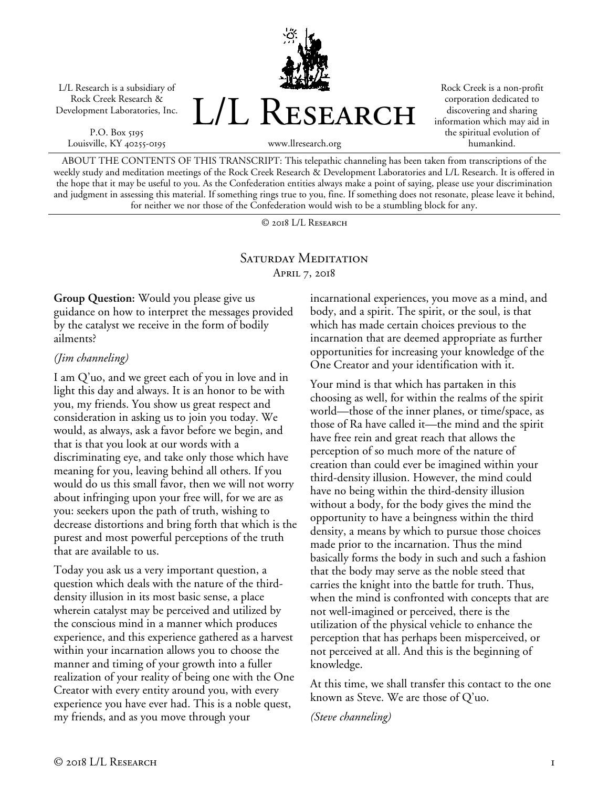L/L Research is a subsidiary of Rock Creek Research & Development Laboratories, Inc.

P.O. Box 5195 Louisville, KY 40255-0195 L/L RESEARCH

Rock Creek is a non-profit corporation dedicated to discovering and sharing information which may aid in the spiritual evolution of humankind.

www.llresearch.org

ABOUT THE CONTENTS OF THIS TRANSCRIPT: This telepathic channeling has been taken from transcriptions of the weekly study and meditation meetings of the Rock Creek Research & Development Laboratories and L/L Research. It is offered in the hope that it may be useful to you. As the Confederation entities always make a point of saying, please use your discrimination and judgment in assessing this material. If something rings true to you, fine. If something does not resonate, please leave it behind, for neither we nor those of the Confederation would wish to be a stumbling block for any.

© 2018 L/L Research

## SATURDAY MEDITATION April 7, 2018

**Group Question:** Would you please give us guidance on how to interpret the messages provided by the catalyst we receive in the form of bodily ailments?

## *(Jim channeling)*

I am Q'uo, and we greet each of you in love and in light this day and always. It is an honor to be with you, my friends. You show us great respect and consideration in asking us to join you today. We would, as always, ask a favor before we begin, and that is that you look at our words with a discriminating eye, and take only those which have meaning for you, leaving behind all others. If you would do us this small favor, then we will not worry about infringing upon your free will, for we are as you: seekers upon the path of truth, wishing to decrease distortions and bring forth that which is the purest and most powerful perceptions of the truth that are available to us.

Today you ask us a very important question, a question which deals with the nature of the thirddensity illusion in its most basic sense, a place wherein catalyst may be perceived and utilized by the conscious mind in a manner which produces experience, and this experience gathered as a harvest within your incarnation allows you to choose the manner and timing of your growth into a fuller realization of your reality of being one with the One Creator with every entity around you, with every experience you have ever had. This is a noble quest, my friends, and as you move through your

incarnational experiences, you move as a mind, and body, and a spirit. The spirit, or the soul, is that which has made certain choices previous to the incarnation that are deemed appropriate as further opportunities for increasing your knowledge of the One Creator and your identification with it.

Your mind is that which has partaken in this choosing as well, for within the realms of the spirit world—those of the inner planes, or time/space, as those of Ra have called it—the mind and the spirit have free rein and great reach that allows the perception of so much more of the nature of creation than could ever be imagined within your third-density illusion. However, the mind could have no being within the third-density illusion without a body, for the body gives the mind the opportunity to have a beingness within the third density, a means by which to pursue those choices made prior to the incarnation. Thus the mind basically forms the body in such and such a fashion that the body may serve as the noble steed that carries the knight into the battle for truth. Thus, when the mind is confronted with concepts that are not well-imagined or perceived, there is the utilization of the physical vehicle to enhance the perception that has perhaps been misperceived, or not perceived at all. And this is the beginning of knowledge.

At this time, we shall transfer this contact to the one known as Steve. We are those of Q'uo.

*(Steve channeling)*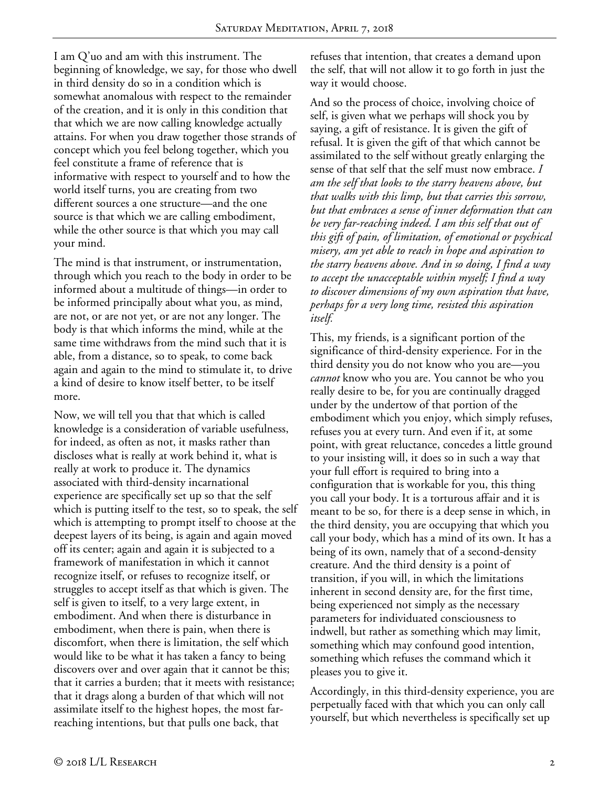I am Q'uo and am with this instrument. The beginning of knowledge, we say, for those who dwell in third density do so in a condition which is somewhat anomalous with respect to the remainder of the creation, and it is only in this condition that that which we are now calling knowledge actually attains. For when you draw together those strands of concept which you feel belong together, which you feel constitute a frame of reference that is informative with respect to yourself and to how the world itself turns, you are creating from two different sources a one structure—and the one source is that which we are calling embodiment, while the other source is that which you may call your mind.

The mind is that instrument, or instrumentation, through which you reach to the body in order to be informed about a multitude of things—in order to be informed principally about what you, as mind, are not, or are not yet, or are not any longer. The body is that which informs the mind, while at the same time withdraws from the mind such that it is able, from a distance, so to speak, to come back again and again to the mind to stimulate it, to drive a kind of desire to know itself better, to be itself more.

Now, we will tell you that that which is called knowledge is a consideration of variable usefulness, for indeed, as often as not, it masks rather than discloses what is really at work behind it, what is really at work to produce it. The dynamics associated with third-density incarnational experience are specifically set up so that the self which is putting itself to the test, so to speak, the self which is attempting to prompt itself to choose at the deepest layers of its being, is again and again moved off its center; again and again it is subjected to a framework of manifestation in which it cannot recognize itself, or refuses to recognize itself, or struggles to accept itself as that which is given. The self is given to itself, to a very large extent, in embodiment. And when there is disturbance in embodiment, when there is pain, when there is discomfort, when there is limitation, the self which would like to be what it has taken a fancy to being discovers over and over again that it cannot be this; that it carries a burden; that it meets with resistance; that it drags along a burden of that which will not assimilate itself to the highest hopes, the most farreaching intentions, but that pulls one back, that

refuses that intention, that creates a demand upon the self, that will not allow it to go forth in just the way it would choose.

And so the process of choice, involving choice of self, is given what we perhaps will shock you by saying, a gift of resistance. It is given the gift of refusal. It is given the gift of that which cannot be assimilated to the self without greatly enlarging the sense of that self that the self must now embrace. *I am the self that looks to the starry heavens above, but that walks with this limp, but that carries this sorrow, but that embraces a sense of inner deformation that can be very far-reaching indeed. I am this self that out of this gift of pain, of limitation, of emotional or psychical misery, am yet able to reach in hope and aspiration to the starry heavens above. And in so doing, I find a way to accept the unacceptable within myself; I find a way to discover dimensions of my own aspiration that have, perhaps for a very long time, resisted this aspiration itself.*

This, my friends, is a significant portion of the significance of third-density experience. For in the third density you do not know who you are—you *cannot* know who you are. You cannot be who you really desire to be, for you are continually dragged under by the undertow of that portion of the embodiment which you enjoy, which simply refuses, refuses you at every turn. And even if it, at some point, with great reluctance, concedes a little ground to your insisting will, it does so in such a way that your full effort is required to bring into a configuration that is workable for you, this thing you call your body. It is a torturous affair and it is meant to be so, for there is a deep sense in which, in the third density, you are occupying that which you call your body, which has a mind of its own. It has a being of its own, namely that of a second-density creature. And the third density is a point of transition, if you will, in which the limitations inherent in second density are, for the first time, being experienced not simply as the necessary parameters for individuated consciousness to indwell, but rather as something which may limit, something which may confound good intention, something which refuses the command which it pleases you to give it.

Accordingly, in this third-density experience, you are perpetually faced with that which you can only call yourself, but which nevertheless is specifically set up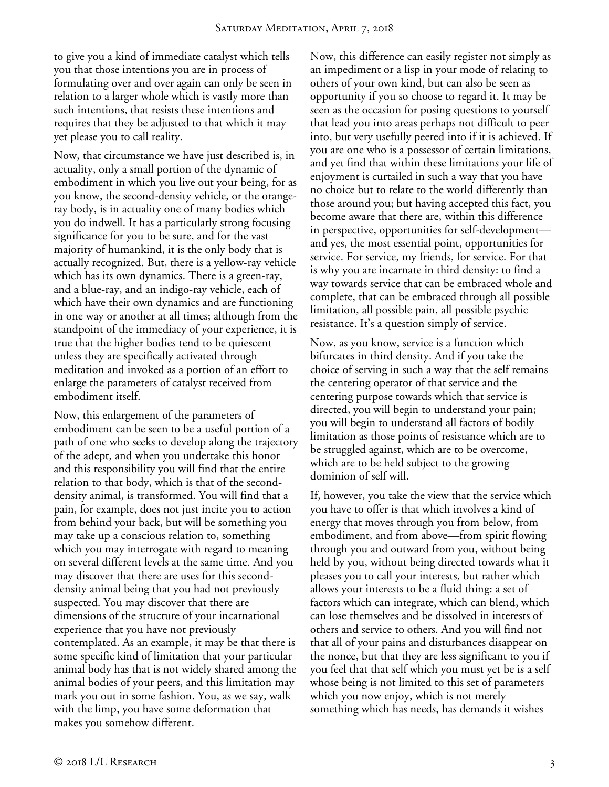to give you a kind of immediate catalyst which tells you that those intentions you are in process of formulating over and over again can only be seen in relation to a larger whole which is vastly more than such intentions, that resists these intentions and requires that they be adjusted to that which it may yet please you to call reality.

Now, that circumstance we have just described is, in actuality, only a small portion of the dynamic of embodiment in which you live out your being, for as you know, the second-density vehicle, or the orangeray body, is in actuality one of many bodies which you do indwell. It has a particularly strong focusing significance for you to be sure, and for the vast majority of humankind, it is the only body that is actually recognized. But, there is a yellow-ray vehicle which has its own dynamics. There is a green-ray, and a blue-ray, and an indigo-ray vehicle, each of which have their own dynamics and are functioning in one way or another at all times; although from the standpoint of the immediacy of your experience, it is true that the higher bodies tend to be quiescent unless they are specifically activated through meditation and invoked as a portion of an effort to enlarge the parameters of catalyst received from embodiment itself.

Now, this enlargement of the parameters of embodiment can be seen to be a useful portion of a path of one who seeks to develop along the trajectory of the adept, and when you undertake this honor and this responsibility you will find that the entire relation to that body, which is that of the seconddensity animal, is transformed. You will find that a pain, for example, does not just incite you to action from behind your back, but will be something you may take up a conscious relation to, something which you may interrogate with regard to meaning on several different levels at the same time. And you may discover that there are uses for this seconddensity animal being that you had not previously suspected. You may discover that there are dimensions of the structure of your incarnational experience that you have not previously contemplated. As an example, it may be that there is some specific kind of limitation that your particular animal body has that is not widely shared among the animal bodies of your peers, and this limitation may mark you out in some fashion. You, as we say, walk with the limp, you have some deformation that makes you somehow different.

Now, this difference can easily register not simply as an impediment or a lisp in your mode of relating to others of your own kind, but can also be seen as opportunity if you so choose to regard it. It may be seen as the occasion for posing questions to yourself that lead you into areas perhaps not difficult to peer into, but very usefully peered into if it is achieved. If you are one who is a possessor of certain limitations, and yet find that within these limitations your life of enjoyment is curtailed in such a way that you have no choice but to relate to the world differently than those around you; but having accepted this fact, you become aware that there are, within this difference in perspective, opportunities for self-development and yes, the most essential point, opportunities for service. For service, my friends, for service. For that is why you are incarnate in third density: to find a way towards service that can be embraced whole and complete, that can be embraced through all possible limitation, all possible pain, all possible psychic resistance. It's a question simply of service.

Now, as you know, service is a function which bifurcates in third density. And if you take the choice of serving in such a way that the self remains the centering operator of that service and the centering purpose towards which that service is directed, you will begin to understand your pain; you will begin to understand all factors of bodily limitation as those points of resistance which are to be struggled against, which are to be overcome, which are to be held subject to the growing dominion of self will.

If, however, you take the view that the service which you have to offer is that which involves a kind of energy that moves through you from below, from embodiment, and from above—from spirit flowing through you and outward from you, without being held by you, without being directed towards what it pleases you to call your interests, but rather which allows your interests to be a fluid thing: a set of factors which can integrate, which can blend, which can lose themselves and be dissolved in interests of others and service to others. And you will find not that all of your pains and disturbances disappear on the nonce, but that they are less significant to you if you feel that that self which you must yet be is a self whose being is not limited to this set of parameters which you now enjoy, which is not merely something which has needs, has demands it wishes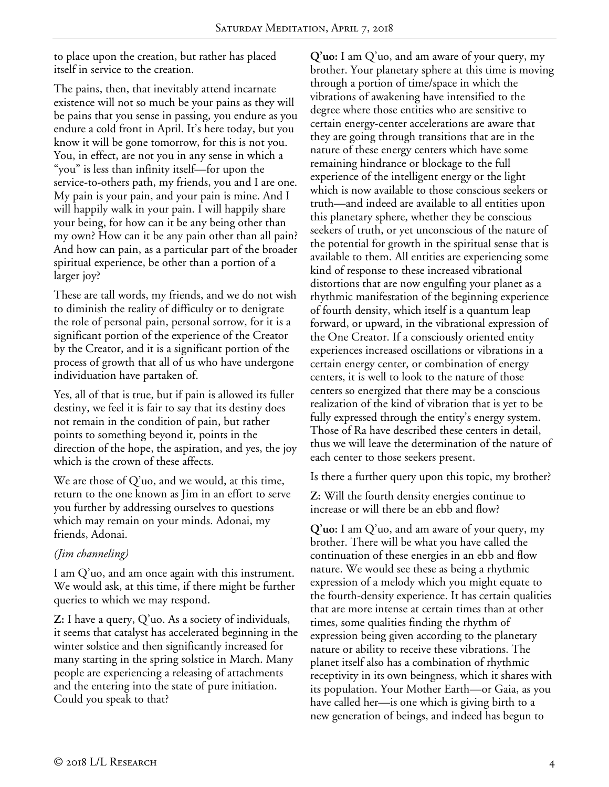to place upon the creation, but rather has placed itself in service to the creation.

The pains, then, that inevitably attend incarnate existence will not so much be your pains as they will be pains that you sense in passing, you endure as you endure a cold front in April. It's here today, but you know it will be gone tomorrow, for this is not you. You, in effect, are not you in any sense in which a "you" is less than infinity itself—for upon the service-to-others path, my friends, you and I are one. My pain is your pain, and your pain is mine. And I will happily walk in your pain. I will happily share your being, for how can it be any being other than my own? How can it be any pain other than all pain? And how can pain, as a particular part of the broader spiritual experience, be other than a portion of a larger joy?

These are tall words, my friends, and we do not wish to diminish the reality of difficulty or to denigrate the role of personal pain, personal sorrow, for it is a significant portion of the experience of the Creator by the Creator, and it is a significant portion of the process of growth that all of us who have undergone individuation have partaken of.

Yes, all of that is true, but if pain is allowed its fuller destiny, we feel it is fair to say that its destiny does not remain in the condition of pain, but rather points to something beyond it, points in the direction of the hope, the aspiration, and yes, the joy which is the crown of these affects.

We are those of Q'uo, and we would, at this time, return to the one known as Jim in an effort to serve you further by addressing ourselves to questions which may remain on your minds. Adonai, my friends, Adonai.

## *(Jim channeling)*

I am Q'uo, and am once again with this instrument. We would ask, at this time, if there might be further queries to which we may respond.

**Z:** I have a query, Q'uo. As a society of individuals, it seems that catalyst has accelerated beginning in the winter solstice and then significantly increased for many starting in the spring solstice in March. Many people are experiencing a releasing of attachments and the entering into the state of pure initiation. Could you speak to that?

**Q'uo:** I am Q'uo, and am aware of your query, my brother. Your planetary sphere at this time is moving through a portion of time/space in which the vibrations of awakening have intensified to the degree where those entities who are sensitive to certain energy-center accelerations are aware that they are going through transitions that are in the nature of these energy centers which have some remaining hindrance or blockage to the full experience of the intelligent energy or the light which is now available to those conscious seekers or truth—and indeed are available to all entities upon this planetary sphere, whether they be conscious seekers of truth, or yet unconscious of the nature of the potential for growth in the spiritual sense that is available to them. All entities are experiencing some kind of response to these increased vibrational distortions that are now engulfing your planet as a rhythmic manifestation of the beginning experience of fourth density, which itself is a quantum leap forward, or upward, in the vibrational expression of the One Creator. If a consciously oriented entity experiences increased oscillations or vibrations in a certain energy center, or combination of energy centers, it is well to look to the nature of those centers so energized that there may be a conscious realization of the kind of vibration that is yet to be fully expressed through the entity's energy system. Those of Ra have described these centers in detail, thus we will leave the determination of the nature of each center to those seekers present.

Is there a further query upon this topic, my brother?

**Z:** Will the fourth density energies continue to increase or will there be an ebb and flow?

**Q'uo:** I am Q'uo, and am aware of your query, my brother. There will be what you have called the continuation of these energies in an ebb and flow nature. We would see these as being a rhythmic expression of a melody which you might equate to the fourth-density experience. It has certain qualities that are more intense at certain times than at other times, some qualities finding the rhythm of expression being given according to the planetary nature or ability to receive these vibrations. The planet itself also has a combination of rhythmic receptivity in its own beingness, which it shares with its population. Your Mother Earth—or Gaia, as you have called her—is one which is giving birth to a new generation of beings, and indeed has begun to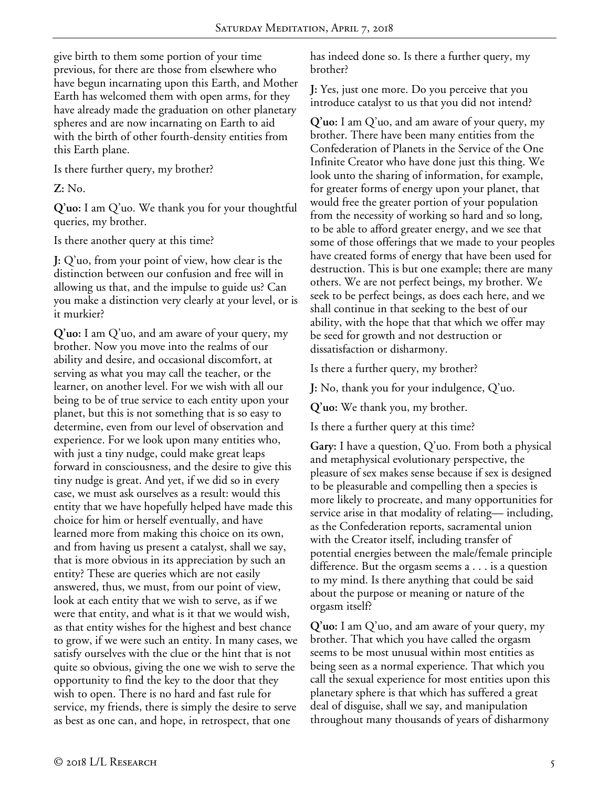give birth to them some portion of your time previous, for there are those from elsewhere who have begun incarnating upon this Earth, and Mother Earth has welcomed them with open arms, for they have already made the graduation on other planetary spheres and are now incarnating on Earth to aid with the birth of other fourth-density entities from this Earth plane.

Is there further query, my brother?

**Z:** No.

**Q'uo:** I am Q'uo. We thank you for your thoughtful queries, my brother.

Is there another query at this time?

**J:** Q'uo, from your point of view, how clear is the distinction between our confusion and free will in allowing us that, and the impulse to guide us? Can you make a distinction very clearly at your level, or is it murkier?

**Q'uo:** I am Q'uo, and am aware of your query, my brother. Now you move into the realms of our ability and desire, and occasional discomfort, at serving as what you may call the teacher, or the learner, on another level. For we wish with all our being to be of true service to each entity upon your planet, but this is not something that is so easy to determine, even from our level of observation and experience. For we look upon many entities who, with just a tiny nudge, could make great leaps forward in consciousness, and the desire to give this tiny nudge is great. And yet, if we did so in every case, we must ask ourselves as a result: would this entity that we have hopefully helped have made this choice for him or herself eventually, and have learned more from making this choice on its own, and from having us present a catalyst, shall we say, that is more obvious in its appreciation by such an entity? These are queries which are not easily answered, thus, we must, from our point of view, look at each entity that we wish to serve, as if we were that entity, and what is it that we would wish, as that entity wishes for the highest and best chance to grow, if we were such an entity. In many cases, we satisfy ourselves with the clue or the hint that is not quite so obvious, giving the one we wish to serve the opportunity to find the key to the door that they wish to open. There is no hard and fast rule for service, my friends, there is simply the desire to serve as best as one can, and hope, in retrospect, that one

has indeed done so. Is there a further query, my brother?

**J:** Yes, just one more. Do you perceive that you introduce catalyst to us that you did not intend?

**Q'uo:** I am Q'uo, and am aware of your query, my brother. There have been many entities from the Confederation of Planets in the Service of the One Infinite Creator who have done just this thing. We look unto the sharing of information, for example, for greater forms of energy upon your planet, that would free the greater portion of your population from the necessity of working so hard and so long, to be able to afford greater energy, and we see that some of those offerings that we made to your peoples have created forms of energy that have been used for destruction. This is but one example; there are many others. We are not perfect beings, my brother. We seek to be perfect beings, as does each here, and we shall continue in that seeking to the best of our ability, with the hope that that which we offer may be seed for growth and not destruction or dissatisfaction or disharmony.

Is there a further query, my brother?

**J:** No, thank you for your indulgence, Q'uo.

**Q'uo:** We thank you, my brother.

Is there a further query at this time?

**Gary:** I have a question, Q'uo. From both a physical and metaphysical evolutionary perspective, the pleasure of sex makes sense because if sex is designed to be pleasurable and compelling then a species is more likely to procreate, and many opportunities for service arise in that modality of relating— including, as the Confederation reports, sacramental union with the Creator itself, including transfer of potential energies between the male/female principle difference. But the orgasm seems a . . . is a question to my mind. Is there anything that could be said about the purpose or meaning or nature of the orgasm itself?

**Q'uo:** I am Q'uo, and am aware of your query, my brother. That which you have called the orgasm seems to be most unusual within most entities as being seen as a normal experience. That which you call the sexual experience for most entities upon this planetary sphere is that which has suffered a great deal of disguise, shall we say, and manipulation throughout many thousands of years of disharmony